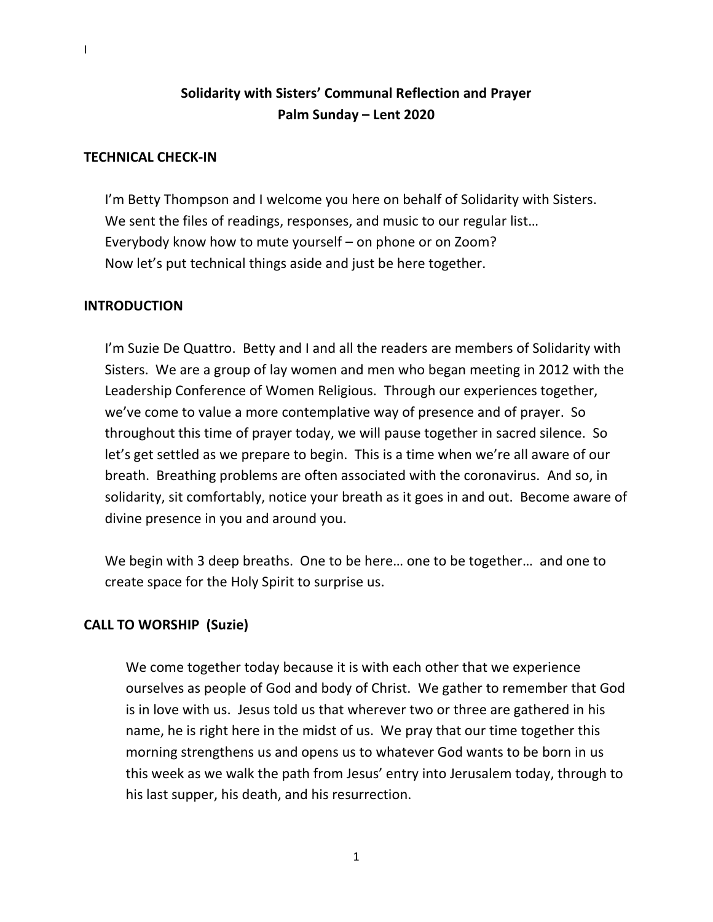# **Solidarity with Sisters' Communal Reflection and Prayer Palm Sunday – Lent 2020**

# **TECHNICAL CHECK-IN**

I'm Betty Thompson and I welcome you here on behalf of Solidarity with Sisters. We sent the files of readings, responses, and music to our regular list… Everybody know how to mute yourself – on phone or on Zoom? Now let's put technical things aside and just be here together.

## **INTRODUCTION**

I'm Suzie De Quattro. Betty and I and all the readers are members of Solidarity with Sisters. We are a group of lay women and men who began meeting in 2012 with the Leadership Conference of Women Religious. Through our experiences together, we've come to value a more contemplative way of presence and of prayer. So throughout this time of prayer today, we will pause together in sacred silence. So let's get settled as we prepare to begin. This is a time when we're all aware of our breath. Breathing problems are often associated with the coronavirus. And so, in solidarity, sit comfortably, notice your breath as it goes in and out. Become aware of divine presence in you and around you.

We begin with 3 deep breaths. One to be here… one to be together… and one to create space for the Holy Spirit to surprise us.

# **CALL TO WORSHIP (Suzie)**

We come together today because it is with each other that we experience ourselves as people of God and body of Christ. We gather to remember that God is in love with us. Jesus told us that wherever two or three are gathered in his name, he is right here in the midst of us. We pray that our time together this morning strengthens us and opens us to whatever God wants to be born in us this week as we walk the path from Jesus' entry into Jerusalem today, through to his last supper, his death, and his resurrection.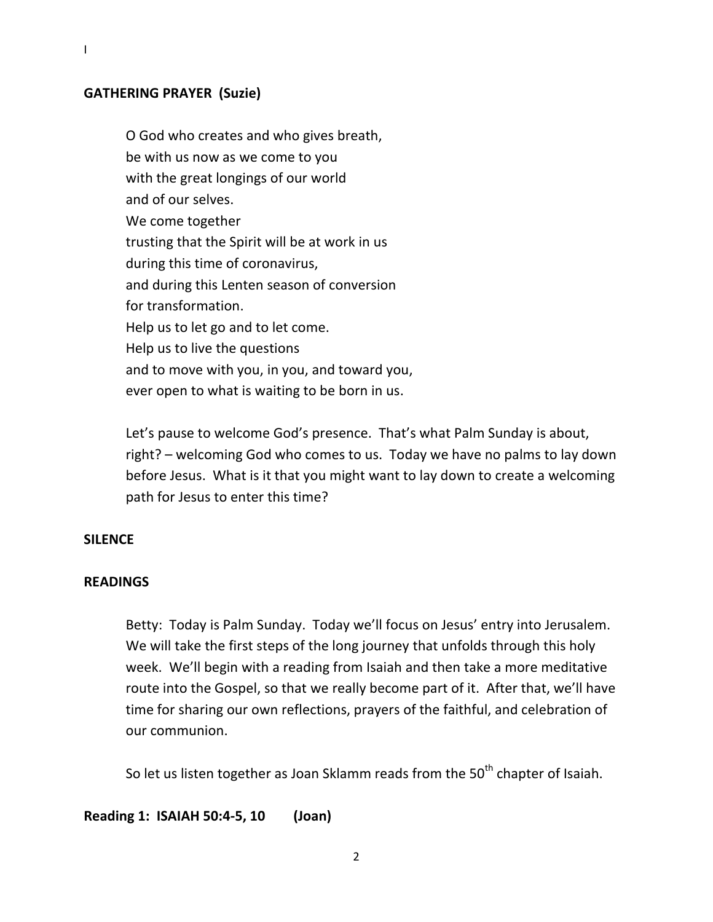## **GATHERING PRAYER (Suzie)**

I

O God who creates and who gives breath, be with us now as we come to you with the great longings of our world and of our selves. We come together trusting that the Spirit will be at work in us during this time of coronavirus, and during this Lenten season of conversion for transformation. Help us to let go and to let come. Help us to live the questions and to move with you, in you, and toward you, ever open to what is waiting to be born in us.

Let's pause to welcome God's presence. That's what Palm Sunday is about, right? – welcoming God who comes to us. Today we have no palms to lay down before Jesus. What is it that you might want to lay down to create a welcoming path for Jesus to enter this time?

## **SILENCE**

## **READINGS**

Betty: Today is Palm Sunday. Today we'll focus on Jesus' entry into Jerusalem. We will take the first steps of the long journey that unfolds through this holy week. We'll begin with a reading from Isaiah and then take a more meditative route into the Gospel, so that we really become part of it. After that, we'll have time for sharing our own reflections, prayers of the faithful, and celebration of our communion.

So let us listen together as Joan Sklamm reads from the 50<sup>th</sup> chapter of Isaiah.

**Reading 1: ISAIAH 50:4-5, 10 (Joan)**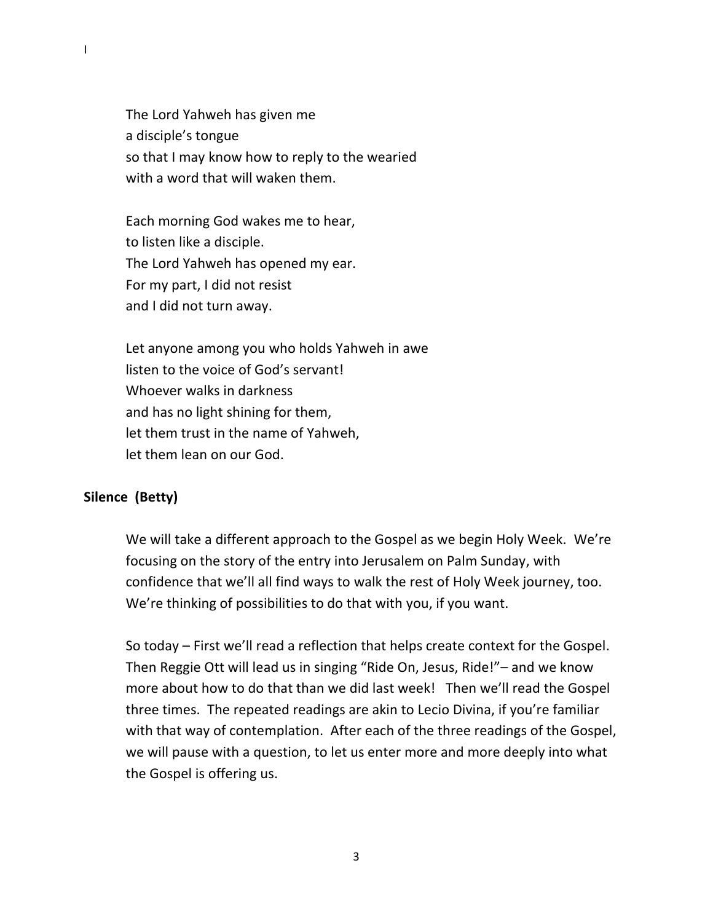The Lord Yahweh has given me a disciple's tongue so that I may know how to reply to the wearied with a word that will waken them.

Each morning God wakes me to hear, to listen like a disciple. The Lord Yahweh has opened my ear. For my part, I did not resist and I did not turn away.

Let anyone among you who holds Yahweh in awe listen to the voice of God's servant! Whoever walks in darkness and has no light shining for them, let them trust in the name of Yahweh, let them lean on our God.

# **Silence (Betty)**

We will take a different approach to the Gospel as we begin Holy Week. We're focusing on the story of the entry into Jerusalem on Palm Sunday, with confidence that we'll all find ways to walk the rest of Holy Week journey, too. We're thinking of possibilities to do that with you, if you want.

So today – First we'll read a reflection that helps create context for the Gospel. Then Reggie Ott will lead us in singing "Ride On, Jesus, Ride!"– and we know more about how to do that than we did last week! Then we'll read the Gospel three times. The repeated readings are akin to Lecio Divina, if you're familiar with that way of contemplation. After each of the three readings of the Gospel, we will pause with a question, to let us enter more and more deeply into what the Gospel is offering us.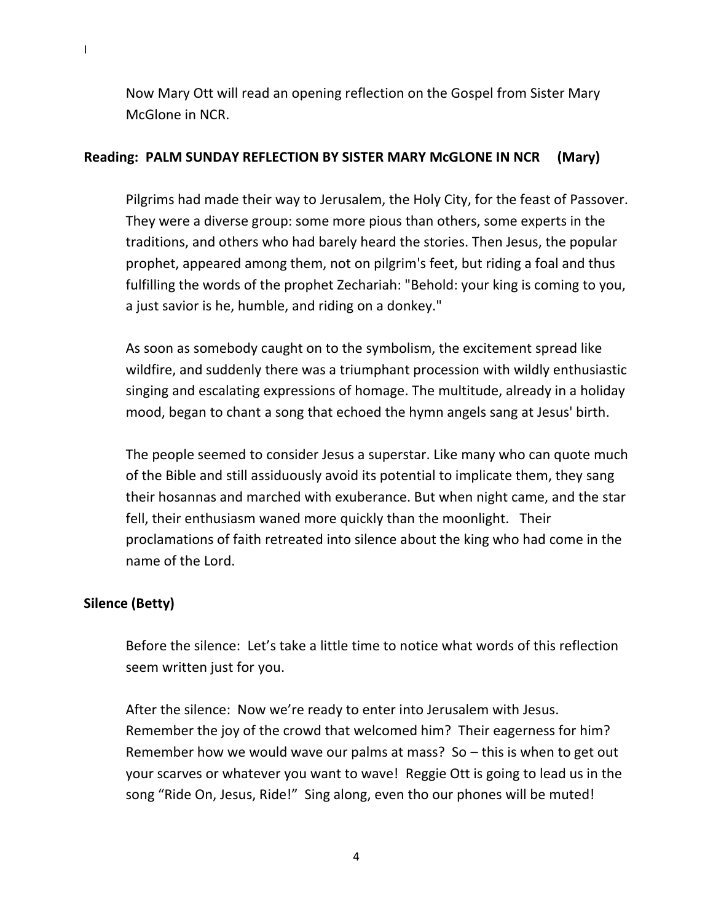Now Mary Ott will read an opening reflection on the Gospel from Sister Mary McGlone in NCR.

#### **Reading: PALM SUNDAY REFLECTION BY SISTER MARY McGLONE IN NCR (Mary)**

Pilgrims had made their way to Jerusalem, the Holy City, for the feast of Passover. They were a diverse group: some more pious than others, some experts in the traditions, and others who had barely heard the stories. Then Jesus, the popular prophet, appeared among them, not on pilgrim's feet, but riding a foal and thus fulfilling the words of the prophet Zechariah: "Behold: your king is coming to you, a just savior is he, humble, and riding on a donkey."

As soon as somebody caught on to the symbolism, the excitement spread like wildfire, and suddenly there was a triumphant procession with wildly enthusiastic singing and escalating expressions of homage. The multitude, already in a holiday mood, began to chant a song that echoed the hymn angels sang at Jesus' birth.

The people seemed to consider Jesus a superstar. Like many who can quote much of the Bible and still assiduously avoid its potential to implicate them, they sang their hosannas and marched with exuberance. But when night came, and the star fell, their enthusiasm waned more quickly than the moonlight. Their proclamations of faith retreated into silence about the king who had come in the name of the Lord.

#### **Silence (Betty)**

Before the silence: Let's take a little time to notice what words of this reflection seem written just for you.

After the silence: Now we're ready to enter into Jerusalem with Jesus. Remember the joy of the crowd that welcomed him? Their eagerness for him? Remember how we would wave our palms at mass? So – this is when to get out your scarves or whatever you want to wave! Reggie Ott is going to lead us in the song "Ride On, Jesus, Ride!" Sing along, even tho our phones will be muted!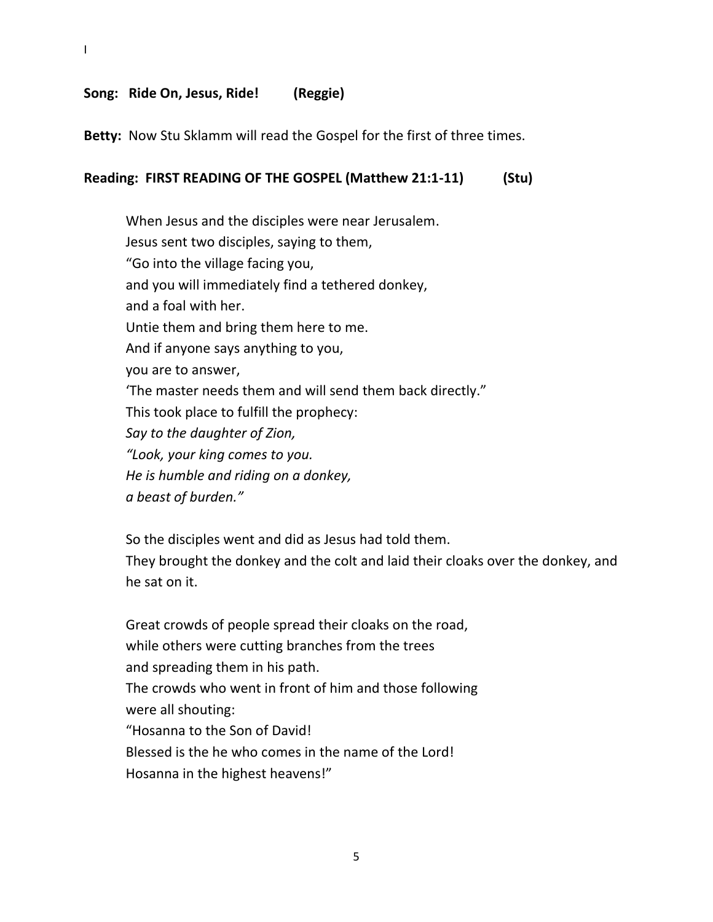## **Song: Ride On, Jesus, Ride! (Reggie)**

I

**Betty:** Now Stu Sklamm will read the Gospel for the first of three times.

#### **Reading: FIRST READING OF THE GOSPEL (Matthew 21:1-11) (Stu)**

When Jesus and the disciples were near Jerusalem. Jesus sent two disciples, saying to them, "Go into the village facing you, and you will immediately find a tethered donkey, and a foal with her. Untie them and bring them here to me. And if anyone says anything to you, you are to answer, 'The master needs them and will send them back directly." This took place to fulfill the prophecy: *Say to the daughter of Zion, "Look, your king comes to you. He is humble and riding on a donkey, a beast of burden."*

So the disciples went and did as Jesus had told them. They brought the donkey and the colt and laid their cloaks over the donkey, and he sat on it.

Great crowds of people spread their cloaks on the road, while others were cutting branches from the trees and spreading them in his path. The crowds who went in front of him and those following were all shouting: "Hosanna to the Son of David! Blessed is the he who comes in the name of the Lord! Hosanna in the highest heavens!"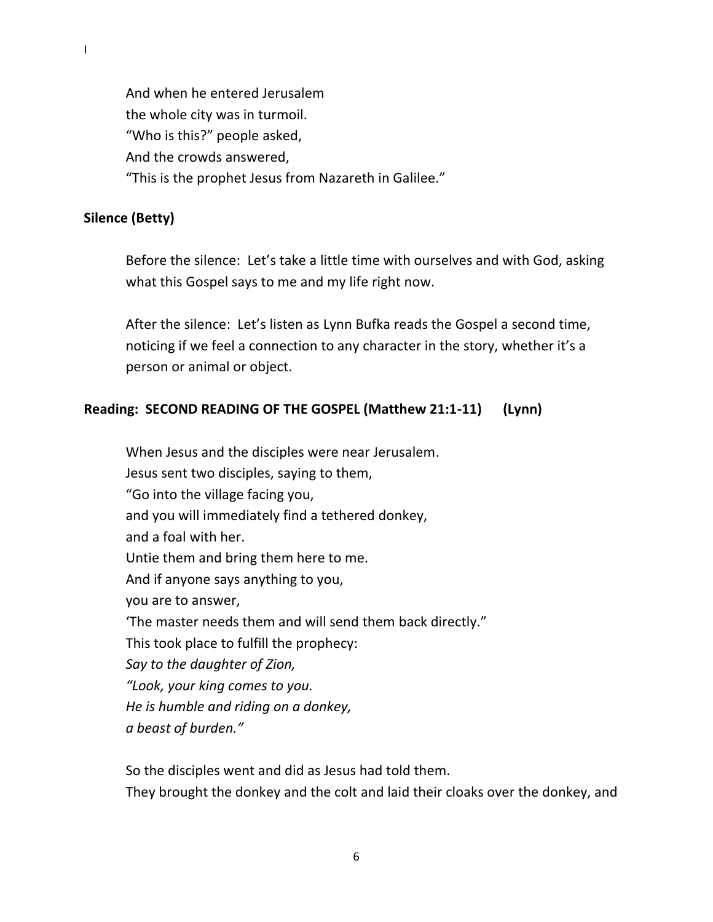And when he entered Jerusalem the whole city was in turmoil. "Who is this?" people asked, And the crowds answered, "This is the prophet Jesus from Nazareth in Galilee."

## **Silence (Betty)**

Before the silence: Let's take a little time with ourselves and with God, asking what this Gospel says to me and my life right now.

After the silence: Let's listen as Lynn Bufka reads the Gospel a second time, noticing if we feel a connection to any character in the story, whether it's a person or animal or object.

# **Reading: SECOND READING OF THE GOSPEL (Matthew 21:1-11) (Lynn)**

When Jesus and the disciples were near Jerusalem. Jesus sent two disciples, saying to them, "Go into the village facing you, and you will immediately find a tethered donkey, and a foal with her. Untie them and bring them here to me. And if anyone says anything to you, you are to answer, 'The master needs them and will send them back directly." This took place to fulfill the prophecy: *Say to the daughter of Zion, "Look, your king comes to you. He is humble and riding on a donkey, a beast of burden."*

So the disciples went and did as Jesus had told them. They brought the donkey and the colt and laid their cloaks over the donkey, and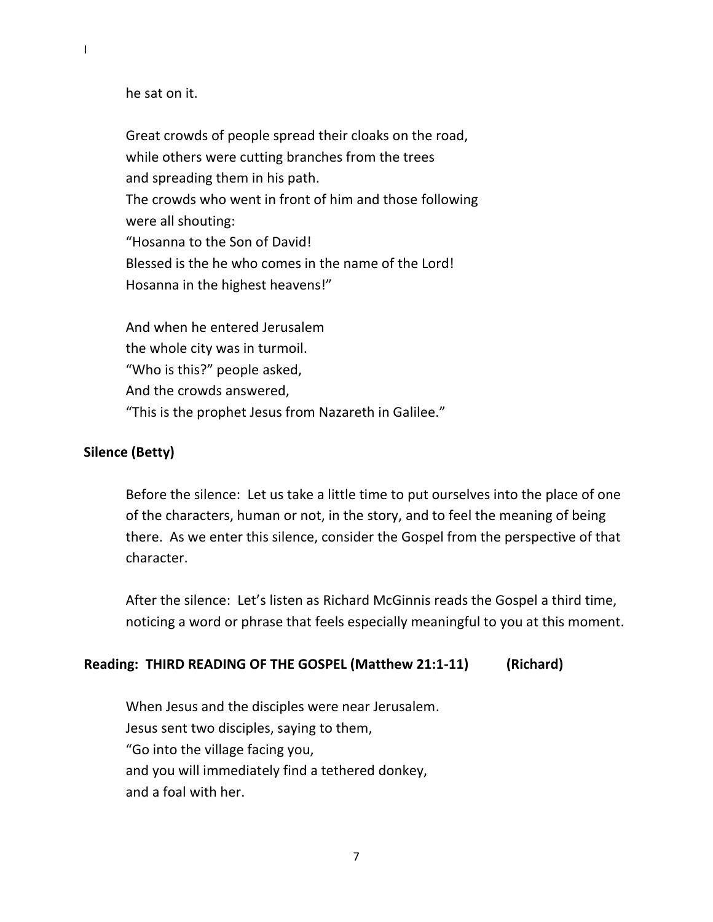he sat on it.

Great crowds of people spread their cloaks on the road, while others were cutting branches from the trees and spreading them in his path. The crowds who went in front of him and those following were all shouting: "Hosanna to the Son of David! Blessed is the he who comes in the name of the Lord! Hosanna in the highest heavens!"

And when he entered Jerusalem the whole city was in turmoil. "Who is this?" people asked, And the crowds answered, "This is the prophet Jesus from Nazareth in Galilee."

# **Silence (Betty)**

Before the silence: Let us take a little time to put ourselves into the place of one of the characters, human or not, in the story, and to feel the meaning of being there. As we enter this silence, consider the Gospel from the perspective of that character.

After the silence: Let's listen as Richard McGinnis reads the Gospel a third time, noticing a word or phrase that feels especially meaningful to you at this moment.

## **Reading: THIRD READING OF THE GOSPEL (Matthew 21:1-11) (Richard)**

When Jesus and the disciples were near Jerusalem. Jesus sent two disciples, saying to them, "Go into the village facing you, and you will immediately find a tethered donkey, and a foal with her.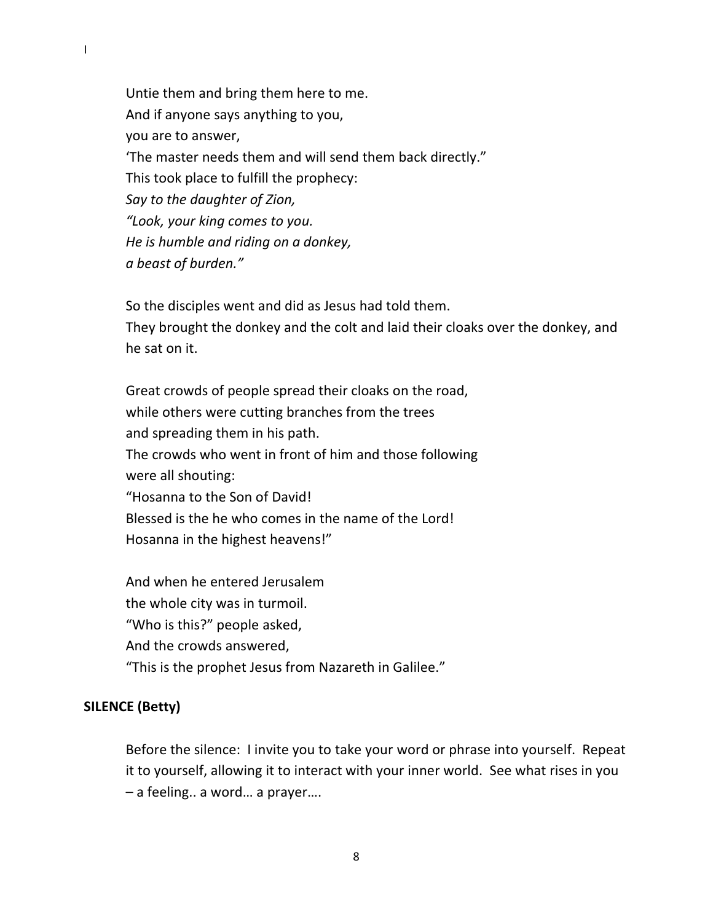Untie them and bring them here to me. And if anyone says anything to you, you are to answer, 'The master needs them and will send them back directly." This took place to fulfill the prophecy: *Say to the daughter of Zion, "Look, your king comes to you. He is humble and riding on a donkey, a beast of burden."*

So the disciples went and did as Jesus had told them. They brought the donkey and the colt and laid their cloaks over the donkey, and he sat on it.

Great crowds of people spread their cloaks on the road, while others were cutting branches from the trees and spreading them in his path. The crowds who went in front of him and those following were all shouting: "Hosanna to the Son of David! Blessed is the he who comes in the name of the Lord! Hosanna in the highest heavens!"

And when he entered Jerusalem the whole city was in turmoil. "Who is this?" people asked, And the crowds answered, "This is the prophet Jesus from Nazareth in Galilee."

## **SILENCE (Betty)**

Before the silence: I invite you to take your word or phrase into yourself. Repeat it to yourself, allowing it to interact with your inner world. See what rises in you – a feeling.. a word… a prayer….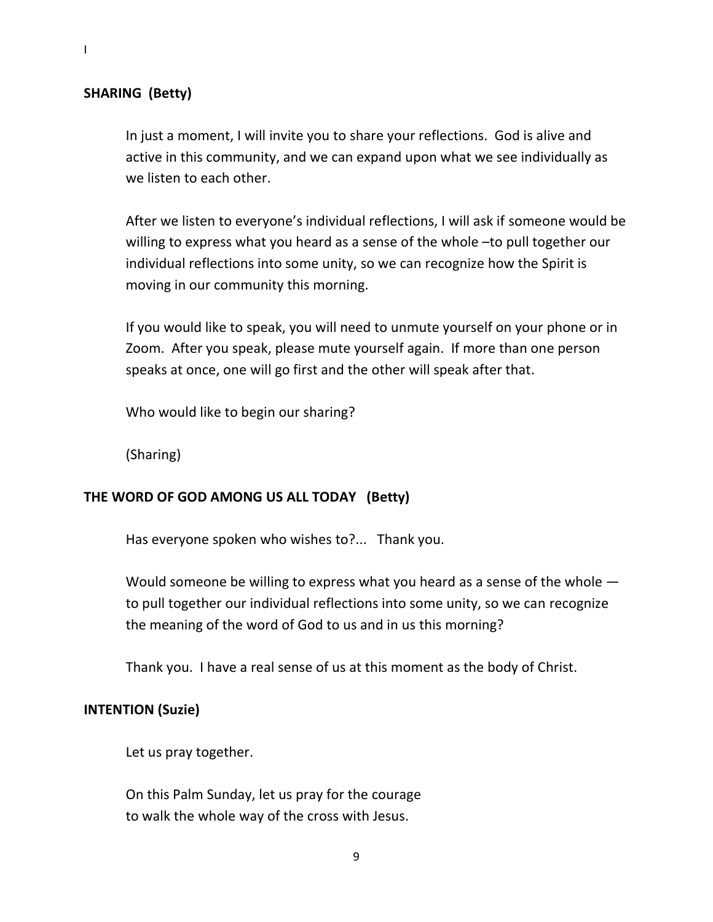# **SHARING (Betty)**

In just a moment, I will invite you to share your reflections. God is alive and active in this community, and we can expand upon what we see individually as we listen to each other.

After we listen to everyone's individual reflections, I will ask if someone would be willing to express what you heard as a sense of the whole –to pull together our individual reflections into some unity, so we can recognize how the Spirit is moving in our community this morning.

If you would like to speak, you will need to unmute yourself on your phone or in Zoom. After you speak, please mute yourself again. If more than one person speaks at once, one will go first and the other will speak after that.

Who would like to begin our sharing?

(Sharing)

## **THE WORD OF GOD AMONG US ALL TODAY (Betty)**

Has everyone spoken who wishes to?... Thank you.

Would someone be willing to express what you heard as a sense of the whole to pull together our individual reflections into some unity, so we can recognize the meaning of the word of God to us and in us this morning?

Thank you. I have a real sense of us at this moment as the body of Christ.

## **INTENTION (Suzie)**

Let us pray together.

On this Palm Sunday, let us pray for the courage to walk the whole way of the cross with Jesus.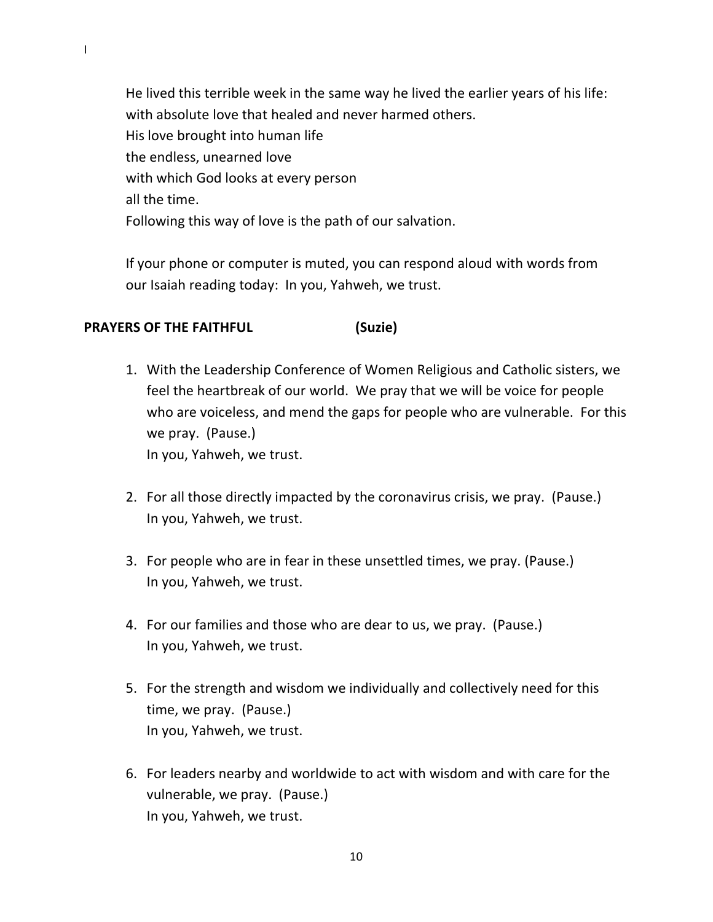He lived this terrible week in the same way he lived the earlier years of his life: with absolute love that healed and never harmed others. His love brought into human life the endless, unearned love with which God looks at every person all the time. Following this way of love is the path of our salvation.

If your phone or computer is muted, you can respond aloud with words from our Isaiah reading today: In you, Yahweh, we trust.

# **PRAYERS OF THE FAITHFUL (Suzie)**

1. With the Leadership Conference of Women Religious and Catholic sisters, we feel the heartbreak of our world. We pray that we will be voice for people who are voiceless, and mend the gaps for people who are vulnerable. For this we pray. (Pause.)

In you, Yahweh, we trust.

- 2. For all those directly impacted by the coronavirus crisis, we pray. (Pause.) In you, Yahweh, we trust.
- 3. For people who are in fear in these unsettled times, we pray. (Pause.) In you, Yahweh, we trust.
- 4. For our families and those who are dear to us, we pray. (Pause.) In you, Yahweh, we trust.
- 5. For the strength and wisdom we individually and collectively need for this time, we pray. (Pause.) In you, Yahweh, we trust.
- 6. For leaders nearby and worldwide to act with wisdom and with care for the vulnerable, we pray. (Pause.) In you, Yahweh, we trust.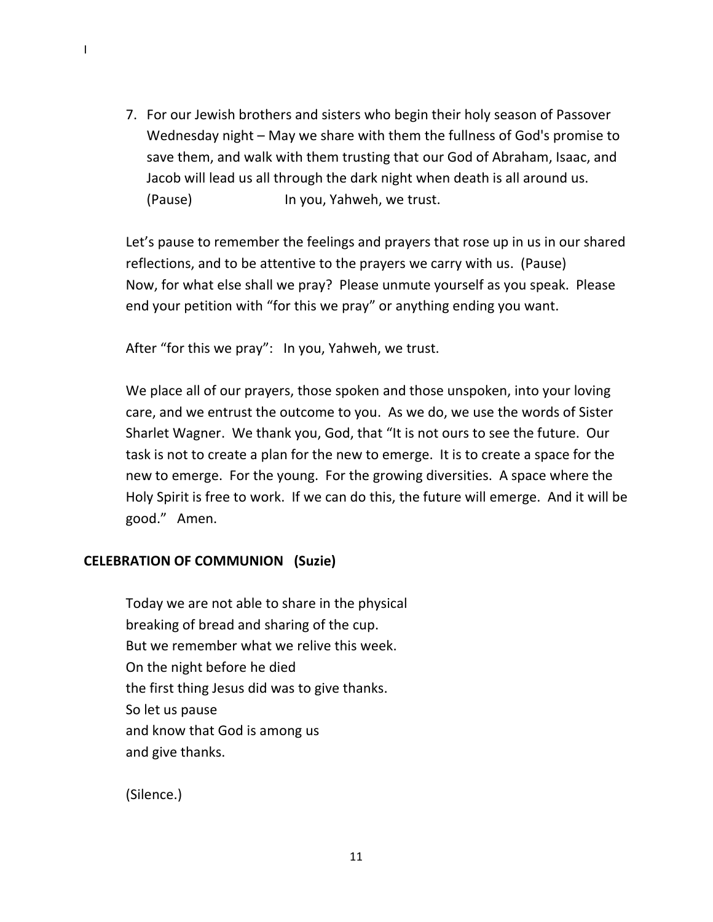7. For our Jewish brothers and sisters who begin their holy season of Passover Wednesday night – May we share with them the fullness of God's promise to save them, and walk with them trusting that our God of Abraham, Isaac, and Jacob will lead us all through the dark night when death is all around us. (Pause) In you, Yahweh, we trust.

Let's pause to remember the feelings and prayers that rose up in us in our shared reflections, and to be attentive to the prayers we carry with us. (Pause) Now, for what else shall we pray? Please unmute yourself as you speak. Please end your petition with "for this we pray" or anything ending you want.

After "for this we pray": In you, Yahweh, we trust.

We place all of our prayers, those spoken and those unspoken, into your loving care, and we entrust the outcome to you. As we do, we use the words of Sister Sharlet Wagner. We thank you, God, that "It is not ours to see the future. Our task is not to create a plan for the new to emerge. It is to create a space for the new to emerge. For the young. For the growing diversities. A space where the Holy Spirit is free to work. If we can do this, the future will emerge. And it will be good." Amen.

# **CELEBRATION OF COMMUNION (Suzie)**

Today we are not able to share in the physical breaking of bread and sharing of the cup. But we remember what we relive this week. On the night before he died the first thing Jesus did was to give thanks. So let us pause and know that God is among us and give thanks.

(Silence.)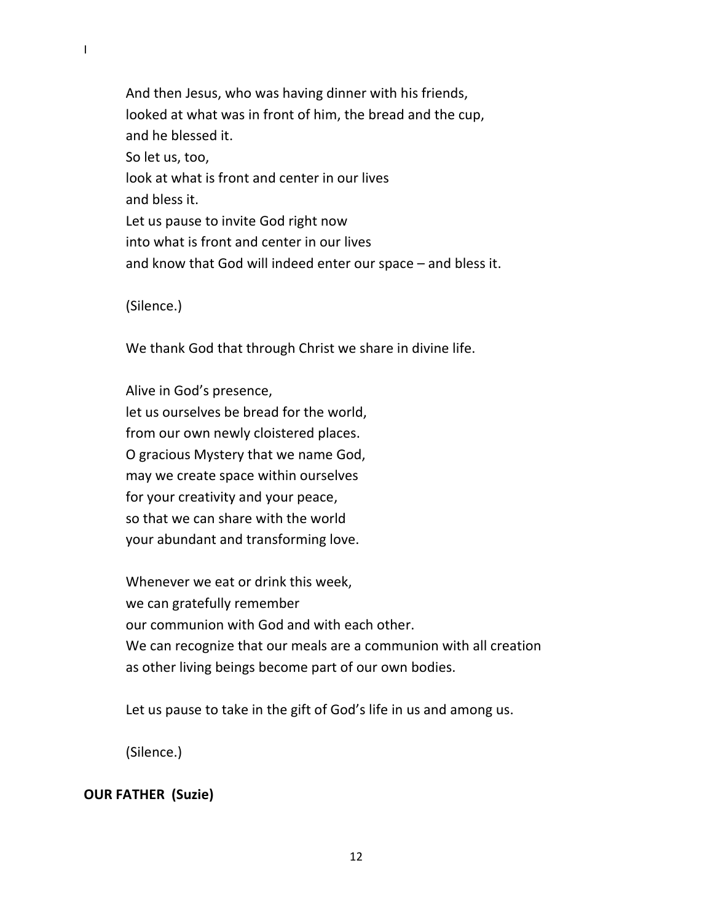And then Jesus, who was having dinner with his friends, looked at what was in front of him, the bread and the cup, and he blessed it. So let us, too, look at what is front and center in our lives and bless it. Let us pause to invite God right now into what is front and center in our lives and know that God will indeed enter our space – and bless it.

(Silence.)

We thank God that through Christ we share in divine life.

Alive in God's presence, let us ourselves be bread for the world, from our own newly cloistered places. O gracious Mystery that we name God, may we create space within ourselves for your creativity and your peace, so that we can share with the world your abundant and transforming love.

Whenever we eat or drink this week, we can gratefully remember our communion with God and with each other. We can recognize that our meals are a communion with all creation as other living beings become part of our own bodies.

Let us pause to take in the gift of God's life in us and among us.

(Silence.)

#### **OUR FATHER (Suzie)**